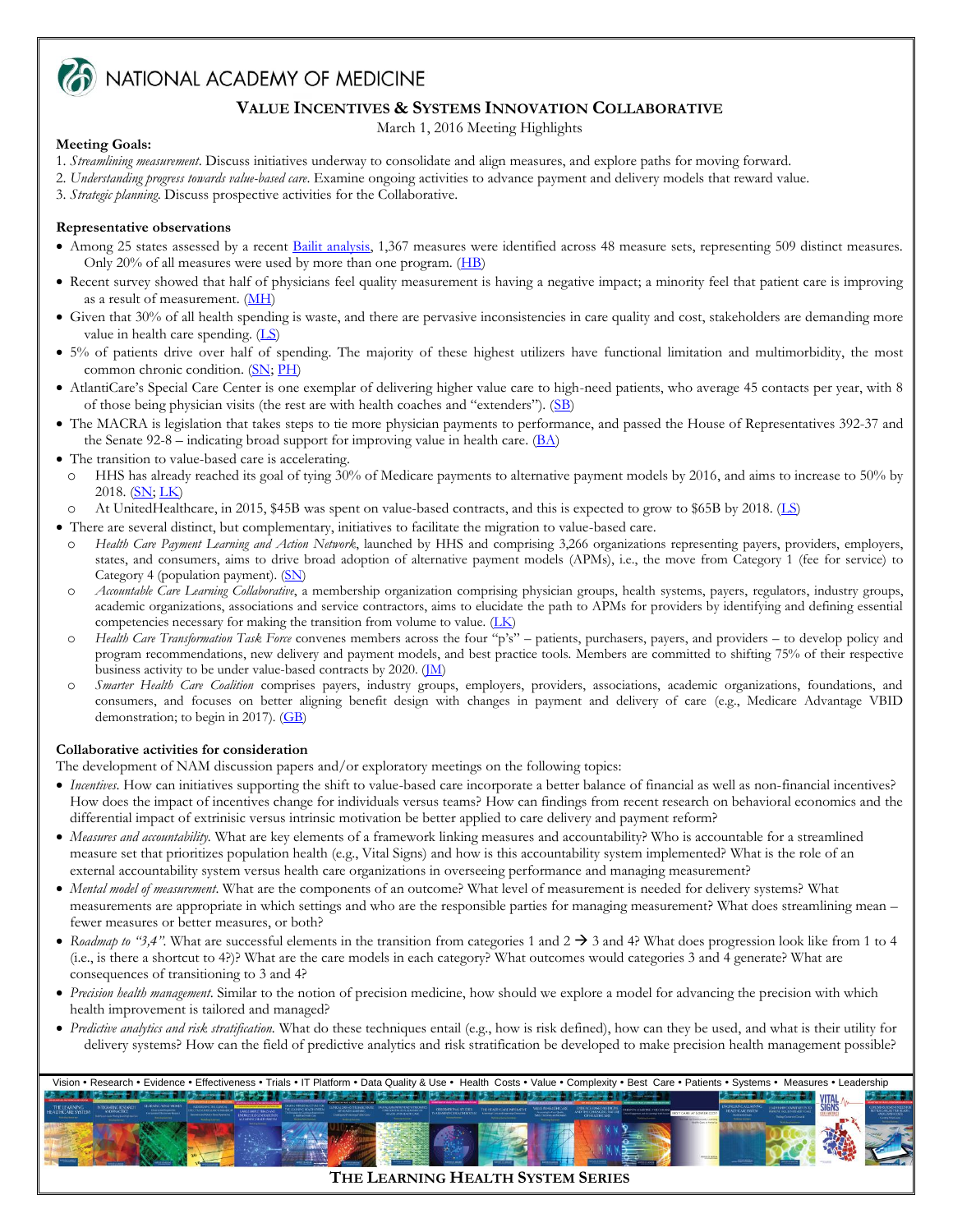

MATIONAL ACADEMY OF MEDICINE

# **VALUE INCENTIVES & SYSTEMS INNOVATION COLLABORATIVE**

March 1, 2016 Meeting Highlights

# **Meeting Goals:**

- 1. *Streamlining measurement*. Discuss initiatives underway to consolidate and align measures, and explore paths for moving forward.
- 2. *Understanding progress towards value-based care*. Examine ongoing activities to advance payment and delivery models that reward value.
- 3. *Strategic planning*. Discuss prospective activities for the Collaborative.

# **Representative observations**

- Among 25 states assessed by a recent [Bailit analysis,](http://www.bailit-health.com/articles/091113_bhp_measuresbrief.pdf) 1,367 measures were identified across 48 measure sets, representing 509 distinct measures. Only 20% of all measures were used by more than one program. [\(HB\)](http://nam.edu/wp-content/uploads/2016/03/VISIC-Burstin.pdf)
- Recent survey showed that half of physicians feel quality measurement is having a negative impact; a minority feel that patient care is improving as a result of measurement. [\(MH\)](http://nam.edu/wp-content/uploads/2016/03/VISIC-Huizinga.pdf)
- Given that 30% of all health spending is waste, and there are pervasive inconsistencies in care quality and cost, stakeholders are demanding more value in health care spending. [\(LS\)](http://nam.edu/wp-content/uploads/2016/03/VISIC-Sandy.pdf)
- 5% of patients drive over half of spending. The majority of these highest utilizers have functional limitation and multimorbidity, the most common chronic condition. [\(SN;](http://nam.edu/wp-content/uploads/2016/03/VISIC-Nussbaum.pdf) [PH\)](http://nam.edu/wp-content/uploads/2016/03/VISIC-Peter-Hollman.pdf)
- AtlantiCare's Special Care Center is one exemplar of delivering higher value care to high-need patients, who average 45 contacts per year, with 8 of those being physician visits (the rest are with health coaches and "extenders"). ([SB\)](http://nam.edu/wp-content/uploads/2016/03/VISIC-Blumberg.pdf)
- The MACRA is legislation that takes steps to tie more physician payments to performance, and passed the House of Representatives 392-37 and the Senate 92-8 – indicating broad support for improving value in health care.  $(BA)$
- The transition to value-based care is accelerating.
- o HHS has already reached its goal of tying 30% of Medicare payments to alternative payment models by 2016, and aims to increase to 50% by 2018.  $(SN, LK)$  $(SN, LK)$
- o At UnitedHealthcare, in 2015, \$45B was spent on value-based contracts, and this is expected to grow to \$65B by 2018. [\(LS\)](http://nam.edu/wp-content/uploads/2016/03/VISIC-Sandy.pdf)
- There are several distinct, but complementary, initiatives to facilitate the migration to value-based care.
- o *Health Care Payment Learning and Action Network*, launched by HHS and comprising 3,266 organizations representing payers, providers, employers, states, and consumers, aims to drive broad adoption of alternative payment models (APMs), i.e., the move from Category 1 (fee for service) to Category 4 (population payment). [\(SN\)](http://nam.edu/wp-content/uploads/2016/03/VISIC-Nussbaum.pdf)
- o *Accountable Care Learning Collaborative*, a membership organization comprising physician groups, health systems, payers, regulators, industry groups, academic organizations, associations and service contractors, aims to elucidate the path to APMs for providers by identifying and defining essential competencies necessary for making the transition from volume to value. [\(LK\)](http://nam.edu/wp-content/uploads/2016/03/VISIC-Kocot.pdf)
- o *Health Care Transformation Task Force* convenes members across the four "p's" patients, purchasers, payers, and providers *–* to develop policy and program recommendations, new delivery and payment models, and best practice tools. Members are committed to shifting 75% of their respective business activity to be under value-based contracts by 2020. [\(JM\)](http://nam.edu/wp-content/uploads/2016/03/VISIC-Micklos.pdf)
- o *Smarter Health Care Coalition* comprises payers, industry groups, employers, providers, associations, academic organizations, foundations, and consumers, and focuses on better aligning benefit design with changes in payment and delivery of care (e.g., Medicare Advantage VBID demonstration; to begin in 2017). [\(GB\)](http://nam.edu/wp-content/uploads/2016/03/VISIC-Bacher.pdf)

# **Collaborative activities for consideration**

The development of NAM discussion papers and/or exploratory meetings on the following topics:

- *Incentives*. How can initiatives supporting the shift to value-based care incorporate a better balance of financial as well as non-financial incentives? How does the impact of incentives change for individuals versus teams? How can findings from recent research on behavioral economics and the differential impact of extrinisic versus intrinsic motivation be better applied to care delivery and payment reform?
- *Measures and accountability.* What are key elements of a framework linking measures and accountability? Who is accountable for a streamlined measure set that prioritizes population health (e.g., Vital Signs) and how is this accountability system implemented? What is the role of an external accountability system versus health care organizations in overseeing performance and managing measurement?
- *Mental model of measurement*. What are the components of an outcome? What level of measurement is needed for delivery systems? What measurements are appropriate in which settings and who are the responsible parties for managing measurement? What does streamlining mean – fewer measures or better measures, or both?
- Roadmap to "3,4". What are successful elements in the transition from categories 1 and 2  $\rightarrow$  3 and 4? What does progression look like from 1 to 4 (i.e., is there a shortcut to 4?)? What are the care models in each category? What outcomes would categories 3 and 4 generate? What are consequences of transitioning to 3 and 4?
- *Precision health management*. Similar to the notion of precision medicine, how should we explore a model for advancing the precision with which health improvement is tailored and managed?
- *Predictive analytics and risk stratification.* What do these techniques entail (e.g., how is risk defined), how can they be used, and what is their utility for delivery systems? How can the field of predictive analytics and risk stratification be developed to make precision health management possible?



**THE LEARNING HEALTH SYSTEM SERIES**